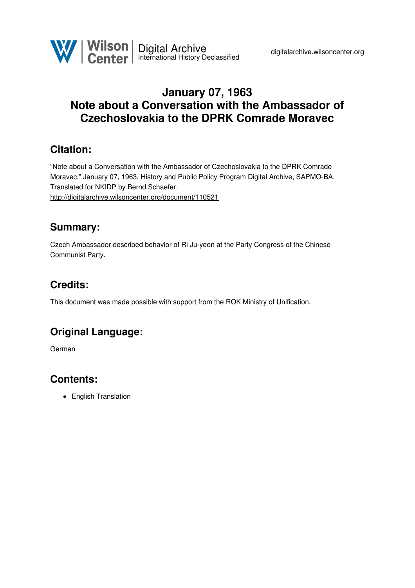## **January 07, 1963 Note about a Conversation with the Ambassador of Czechoslovakia to the DPRK Comrade Moravec**

### **Citation:**

"Note about a Conversation with the Ambassador of Czechoslovakia to the DPRK Comrade Moravec," January 07, 1963, History and Public Policy Program Digital Archive, SAPMO-BA. Translated for NKIDP by Bernd Schaefer. <http://digitalarchive.wilsoncenter.org/document/110521>

### **Summary:**

Czech Ambassador described behavior of Ri Ju-yeon at the Party Congress of the Chinese Communist Party.

# **Credits:**

This document was made possible with support from the ROK Ministry of Unification.

## **Original Language:**

German

## **Contents:**

• English Translation